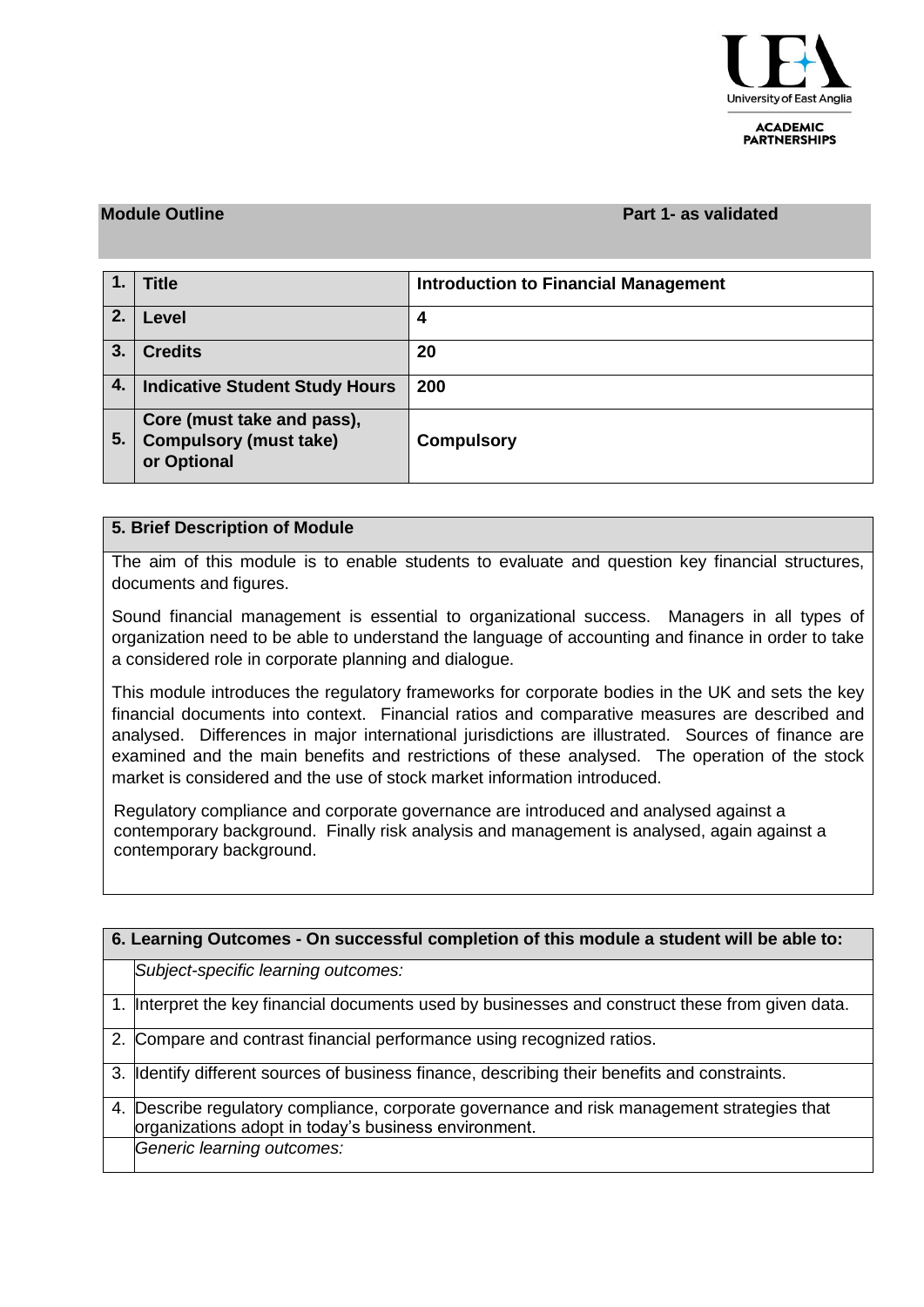

**ACADEMIC PARTNERSHIPS** 

### **Module Outline Part 1- as validated**

|    | <b>Title</b>                                                               | <b>Introduction to Financial Management</b> |
|----|----------------------------------------------------------------------------|---------------------------------------------|
| 2. | Level                                                                      | 4                                           |
| 3. | <b>Credits</b>                                                             | 20                                          |
| 4. | <b>Indicative Student Study Hours</b>                                      | 200                                         |
| 5. | Core (must take and pass),<br><b>Compulsory (must take)</b><br>or Optional | <b>Compulsory</b>                           |

#### **5. Brief Description of Module**

The aim of this module is to enable students to evaluate and question key financial structures, documents and figures.

Sound financial management is essential to organizational success. Managers in all types of organization need to be able to understand the language of accounting and finance in order to take a considered role in corporate planning and dialogue.

This module introduces the regulatory frameworks for corporate bodies in the UK and sets the key financial documents into context. Financial ratios and comparative measures are described and analysed. Differences in major international jurisdictions are illustrated. Sources of finance are examined and the main benefits and restrictions of these analysed. The operation of the stock market is considered and the use of stock market information introduced.

Regulatory compliance and corporate governance are introduced and analysed against a contemporary background. Finally risk analysis and management is analysed, again against a contemporary background.

| 6. Learning Outcomes - On successful completion of this module a student will be able to: |                                                                                                                                                  |  |  |  |
|-------------------------------------------------------------------------------------------|--------------------------------------------------------------------------------------------------------------------------------------------------|--|--|--|
|                                                                                           | Subject-specific learning outcomes:                                                                                                              |  |  |  |
|                                                                                           | 1. Interpret the key financial documents used by businesses and construct these from given data.                                                 |  |  |  |
|                                                                                           | 2. Compare and contrast financial performance using recognized ratios.                                                                           |  |  |  |
|                                                                                           | 3. Identify different sources of business finance, describing their benefits and constraints.                                                    |  |  |  |
| 4.                                                                                        | Describe regulatory compliance, corporate governance and risk management strategies that<br>organizations adopt in today's business environment. |  |  |  |
|                                                                                           | Generic learning outcomes:                                                                                                                       |  |  |  |